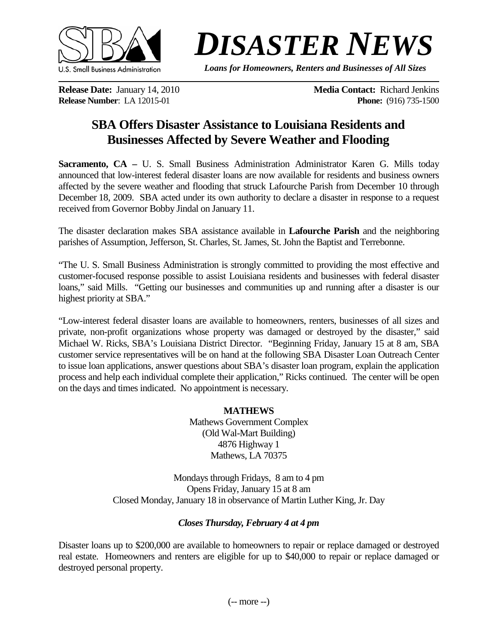

## *DISASTER NEWS*

*Loans for Homeowners, Renters and Businesses of All Sizes*

**Release Number: LA 12015-01** 

**Release Date:** January 14, 2010<br> **Release Number:** LA 12015-01<br> **Release Number:** LA 12015-01<br> **Release Number:** LA 12015-01

## **SBA Offers Disaster Assistance to Louisiana Residents and Businesses Affected by Severe Weather and Flooding**

**Sacramento, CA –** U. S. Small Business Administration Administrator Karen G. Mills today announced that low-interest federal disaster loans are now available for residents and business owners affected by the severe weather and flooding that struck Lafourche Parish from December 10 through December 18, 2009. SBA acted under its own authority to declare a disaster in response to a request received from Governor Bobby Jindal on January 11.

The disaster declaration makes SBA assistance available in **Lafourche Parish** and the neighboring parishes of Assumption, Jefferson, St. Charles, St. James, St. John the Baptist and Terrebonne.

"The U. S. Small Business Administration is strongly committed to providing the most effective and customer-focused response possible to assist Louisiana residents and businesses with federal disaster loans," said Mills. "Getting our businesses and communities up and running after a disaster is our highest priority at SBA."

"Low-interest federal disaster loans are available to homeowners, renters, businesses of all sizes and private, non-profit organizations whose property was damaged or destroyed by the disaster," said Michael W. Ricks, SBA's Louisiana District Director. "Beginning Friday, January 15 at 8 am, SBA customer service representatives will be on hand at the following SBA Disaster Loan Outreach Center to issue loan applications, answer questions about SBA's disaster loan program, explain the application process and help each individual complete their application," [Ricks](http://www.sba.gov/idc/groups/public/documents/ca_los_angeles/ca_la_agabio05.doc) continued. The center will be open on the days and times indicated. No appointment is necessary.

> **MATHEWS** Mathews Government Complex (Old Wal-Mart Building) 4876 Highway 1 Mathews, LA 70375

Mondays through Fridays, 8 am to 4 pm Opens Friday, January 15 at 8 am Closed Monday, January 18 in observance of Martin Luther King, Jr. Day

## *Closes Thursday, February 4 at 4 pm*

Disaster loans up to \$200,000 are available to homeowners to repair or replace damaged or destroyed real estate. Homeowners and renters are eligible for up to \$40,000 to repair or replace damaged or destroyed personal property.